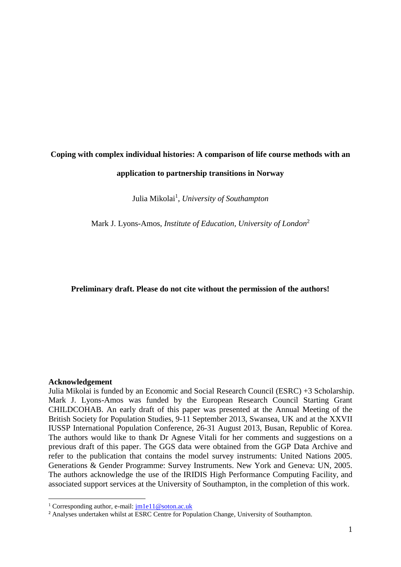# **Coping with complex individual histories: A comparison of life course methods with an application to partnership transitions in Norway**

Julia Mikolai<sup>1</sup>, *University of Southampton* 

Mark J. Lyons-Amos, *Institute of Education, University of London*<sup>2</sup>

# **Preliminary draft. Please do not cite without the permission of the authors!**

## **Acknowledgement**

**.** 

Julia Mikolai is funded by an Economic and Social Research Council (ESRC) +3 Scholarship. Mark J. Lyons-Amos was funded by the European Research Council Starting Grant CHILDCOHAB. An early draft of this paper was presented at the Annual Meeting of the British Society for Population Studies, 9-11 September 2013, Swansea, UK and at the XXVII IUSSP International Population Conference, 26-31 August 2013, Busan, Republic of Korea. The authors would like to thank Dr Agnese Vitali for her comments and suggestions on a previous draft of this paper. The GGS data were obtained from the GGP Data Archive and refer to the publication that contains the model survey instruments: United Nations 2005. Generations & Gender Programme: Survey Instruments. New York and Geneva: UN, 2005. The authors acknowledge the use of the IRIDIS High Performance Computing Facility, and associated support services at the University of Southampton, in the completion of this work.

<sup>&</sup>lt;sup>1</sup> Corresponding author, e-mail:  $\frac{1 \text{ m1e11}}{2 \text{ soton.ac.uk}}$ 

<sup>2</sup> Analyses undertaken whilst at ESRC Centre for Population Change, University of Southampton.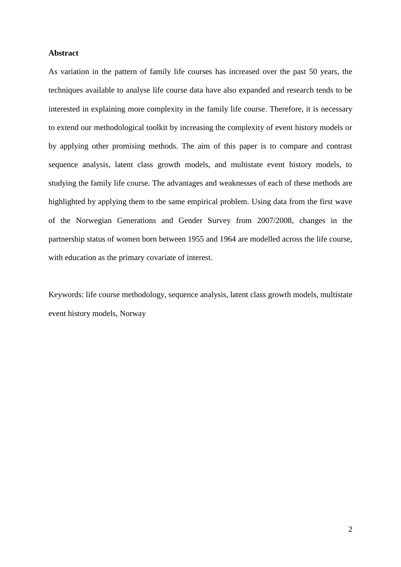## **Abstract**

As variation in the pattern of family life courses has increased over the past 50 years, the techniques available to analyse life course data have also expanded and research tends to be interested in explaining more complexity in the family life course. Therefore, it is necessary to extend our methodological toolkit by increasing the complexity of event history models or by applying other promising methods. The aim of this paper is to compare and contrast sequence analysis, latent class growth models, and multistate event history models, to studying the family life course. The advantages and weaknesses of each of these methods are highlighted by applying them to the same empirical problem. Using data from the first wave of the Norwegian Generations and Gender Survey from 2007/2008, changes in the partnership status of women born between 1955 and 1964 are modelled across the life course, with education as the primary covariate of interest.

Keywords: life course methodology, sequence analysis, latent class growth models, multistate event history models, Norway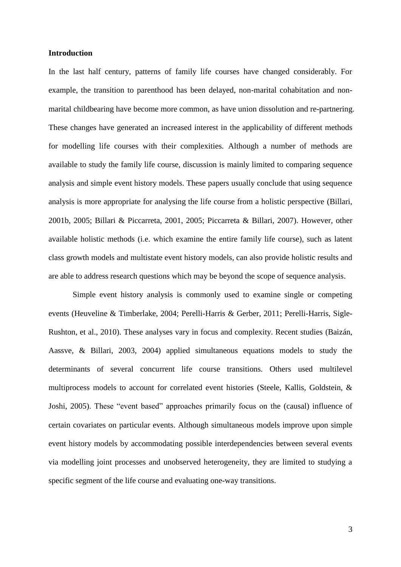## **Introduction**

In the last half century, patterns of family life courses have changed considerably. For example, the transition to parenthood has been delayed, non-marital cohabitation and nonmarital childbearing have become more common, as have union dissolution and re-partnering. These changes have generated an increased interest in the applicability of different methods for modelling life courses with their complexities. Although a number of methods are available to study the family life course, discussion is mainly limited to comparing sequence analysis and simple event history models. These papers usually conclude that using sequence analysis is more appropriate for analysing the life course from a holistic perspective [\(Billari,](#page-29-0)  [2001b,](#page-29-0) [2005;](#page-29-1) [Billari & Piccarreta, 2001,](#page-29-2) [2005;](#page-29-3) [Piccarreta & Billari, 2007\)](#page-30-0). However, other available holistic methods (i.e. which examine the entire family life course), such as latent class growth models and multistate event history models, can also provide holistic results and are able to address research questions which may be beyond the scope of sequence analysis.

Simple event history analysis is commonly used to examine single or competing events [\(Heuveline & Timberlake, 2004;](#page-29-4) [Perelli-Harris & Gerber, 2011;](#page-30-1) [Perelli-Harris, Sigle-](#page-30-2)[Rushton, et al., 2010\)](#page-30-2). These analyses vary in focus and complexity. Recent studies [\(Baizán,](#page-29-5)  [Aassve, & Billari, 2003,](#page-29-5) [2004\)](#page-29-6) applied simultaneous equations models to study the determinants of several concurrent life course transitions. Others used multilevel multiprocess models to account for correlated event histories [\(Steele, Kallis, Goldstein, &](#page-30-3)  [Joshi, 2005\)](#page-30-3). These "event based" approaches primarily focus on the (causal) influence of certain covariates on particular events. Although simultaneous models improve upon simple event history models by accommodating possible interdependencies between several events via modelling joint processes and unobserved heterogeneity, they are limited to studying a specific segment of the life course and evaluating one-way transitions.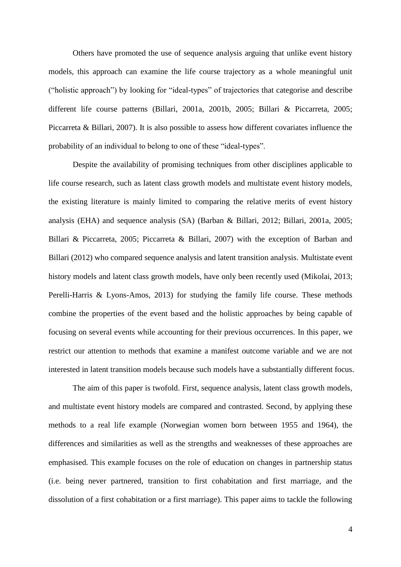Others have promoted the use of sequence analysis arguing that unlike event history models, this approach can examine the life course trajectory as a whole meaningful unit ("holistic approach") by looking for "ideal-types" of trajectories that categorise and describe different life course patterns [\(Billari, 2001a,](#page-29-7) [2001b,](#page-29-0) [2005;](#page-29-1) [Billari & Piccarreta, 2005;](#page-29-3) [Piccarreta & Billari, 2007\)](#page-30-0). It is also possible to assess how different covariates influence the probability of an individual to belong to one of these "ideal-types".

Despite the availability of promising techniques from other disciplines applicable to life course research, such as latent class growth models and multistate event history models, the existing literature is mainly limited to comparing the relative merits of event history analysis (EHA) and sequence analysis (SA) [\(Barban & Billari, 2012;](#page-29-8) [Billari, 2001a,](#page-29-7) [2005;](#page-29-1) [Billari & Piccarreta, 2005;](#page-29-3) [Piccarreta & Billari, 2007\)](#page-30-0) with the exception of [Barban and](#page-29-8)  [Billari \(2012\)](#page-29-8) who compared sequence analysis and latent transition analysis. Multistate event history models and latent class growth models, have only been recently used [\(Mikolai, 2013;](#page-29-9) [Perelli-Harris & Lyons-Amos, 2013\)](#page-30-4) for studying the family life course. These methods combine the properties of the event based and the holistic approaches by being capable of focusing on several events while accounting for their previous occurrences. In this paper, we restrict our attention to methods that examine a manifest outcome variable and we are not interested in latent transition models because such models have a substantially different focus.

The aim of this paper is twofold. First, sequence analysis, latent class growth models, and multistate event history models are compared and contrasted. Second, by applying these methods to a real life example (Norwegian women born between 1955 and 1964), the differences and similarities as well as the strengths and weaknesses of these approaches are emphasised. This example focuses on the role of education on changes in partnership status (i.e. being never partnered, transition to first cohabitation and first marriage, and the dissolution of a first cohabitation or a first marriage). This paper aims to tackle the following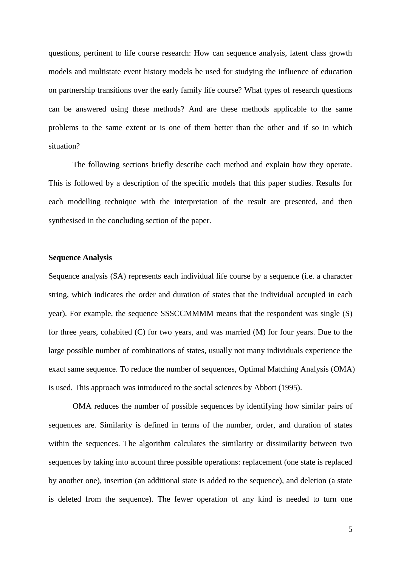questions, pertinent to life course research: How can sequence analysis, latent class growth models and multistate event history models be used for studying the influence of education on partnership transitions over the early family life course? What types of research questions can be answered using these methods? And are these methods applicable to the same problems to the same extent or is one of them better than the other and if so in which situation?

The following sections briefly describe each method and explain how they operate. This is followed by a description of the specific models that this paper studies. Results for each modelling technique with the interpretation of the result are presented, and then synthesised in the concluding section of the paper.

## **Sequence Analysis**

Sequence analysis (SA) represents each individual life course by a sequence (i.e. a character string, which indicates the order and duration of states that the individual occupied in each year). For example, the sequence SSSCCMMMM means that the respondent was single (S) for three years, cohabited (C) for two years, and was married (M) for four years. Due to the large possible number of combinations of states, usually not many individuals experience the exact same sequence. To reduce the number of sequences, Optimal Matching Analysis (OMA) is used. This approach was introduced to the social sciences by [Abbott \(1995\)](#page-29-10).

OMA reduces the number of possible sequences by identifying how similar pairs of sequences are. Similarity is defined in terms of the number, order, and duration of states within the sequences. The algorithm calculates the similarity or dissimilarity between two sequences by taking into account three possible operations: replacement (one state is replaced by another one), insertion (an additional state is added to the sequence), and deletion (a state is deleted from the sequence). The fewer operation of any kind is needed to turn one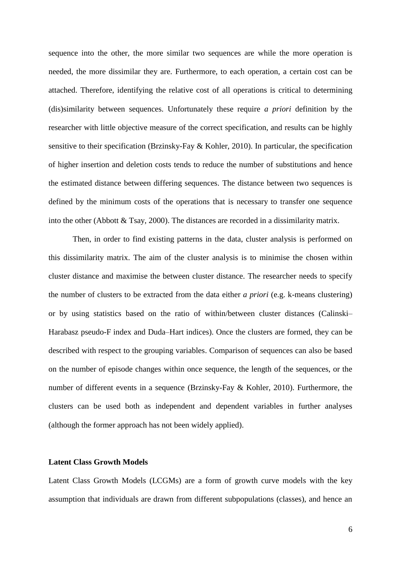sequence into the other, the more similar two sequences are while the more operation is needed, the more dissimilar they are. Furthermore, to each operation, a certain cost can be attached. Therefore, identifying the relative cost of all operations is critical to determining (dis)similarity between sequences. Unfortunately these require *a priori* definition by the researcher with little objective measure of the correct specification, and results can be highly sensitive to their specification [\(Brzinsky-Fay & Kohler, 2010\)](#page-29-11). In particular, the specification of higher insertion and deletion costs tends to reduce the number of substitutions and hence the estimated distance between differing sequences. The distance between two sequences is defined by the minimum costs of the operations that is necessary to transfer one sequence into the other [\(Abbott & Tsay, 2000\)](#page-29-12). The distances are recorded in a dissimilarity matrix.

Then, in order to find existing patterns in the data, cluster analysis is performed on this dissimilarity matrix. The aim of the cluster analysis is to minimise the chosen within cluster distance and maximise the between cluster distance. The researcher needs to specify the number of clusters to be extracted from the data either *a priori* (e.g. k-means clustering) or by using statistics based on the ratio of within/between cluster distances (Calinski– Harabasz pseudo-F index and Duda–Hart indices). Once the clusters are formed, they can be described with respect to the grouping variables. Comparison of sequences can also be based on the number of episode changes within once sequence, the length of the sequences, or the number of different events in a sequence [\(Brzinsky-Fay & Kohler, 2010\)](#page-29-11). Furthermore, the clusters can be used both as independent and dependent variables in further analyses (although the former approach has not been widely applied).

# **Latent Class Growth Models**

Latent Class Growth Models (LCGMs) are a form of growth curve models with the key assumption that individuals are drawn from different subpopulations (classes), and hence an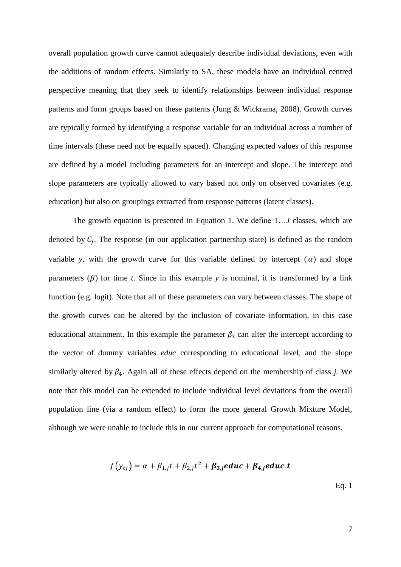overall population growth curve cannot adequately describe individual deviations, even with the additions of random effects. Similarly to SA, these models have an individual centred perspective meaning that they seek to identify relationships between individual response patterns and form groups based on these patterns [\(Jung & Wickrama, 2008\)](#page-29-13). Growth curves are typically formed by identifying a response variable for an individual across a number of time intervals (these need not be equally spaced). Changing expected values of this response are defined by a model including parameters for an intercept and slope. The intercept and slope parameters are typically allowed to vary based not only on observed covariates (e.g. education) but also on groupings extracted from response patterns (latent classes).

The growth equation is presented in Equation 1. We define 1…*J* classes, which are denoted by  $C_j$ . The response (in our application partnership state) is defined as the random variable *y*, with the growth curve for this variable defined by intercept  $(\alpha)$  and slope parameters  $(\beta)$  for time *t*. Since in this example *y* is nominal, it is transformed by a link function (e.g. logit). Note that all of these parameters can vary between classes. The shape of the growth curves can be altered by the inclusion of covariate information, in this case educational attainment. In this example the parameter  $\beta_3$  can alter the intercept according to the vector of dummy variables *educ* corresponding to educational level, and the slope similarly altered by  $\beta_4$ . Again all of these effects depend on the membership of class *j*. We note that this model can be extended to include individual level deviations from the overall population line (via a random effect) to form the more general Growth Mixture Model, although we were unable to include this in our current approach for computational reasons.

$$
f(y_{tj}) = \alpha + \beta_{1,j}t + \beta_{2,j}t^2 + \beta_{3,j}educ + \beta_{4,j}educ.t
$$

Eq. 1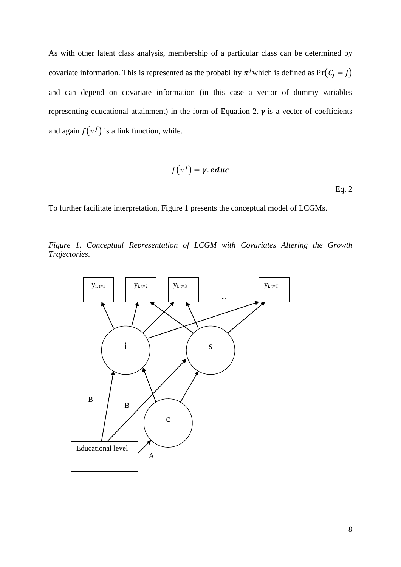As with other latent class analysis, membership of a particular class can be determined by covariate information. This is represented as the probability  $\pi^{j}$  which is defined as  $Pr(C_j = J)$ and can depend on covariate information (in this case a vector of dummy variables representing educational attainment) in the form of Equation 2.  $\gamma$  is a vector of coefficients and again  $f(\pi^j)$  is a link function, while.

$$
f(\pi^j) = \gamma.\,educ
$$

Eq. 2

To further facilitate interpretation, Figure 1 presents the conceptual model of LCGMs.

*Figure 1. Conceptual Representation of LCGM with Covariates Altering the Growth Trajectories*.

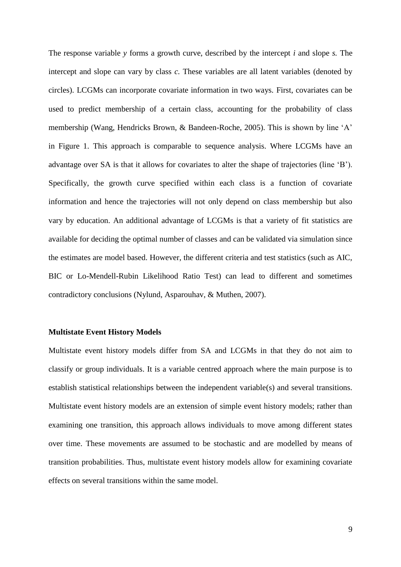The response variable *y* forms a growth curve, described by the intercept *i* and slope *s.* The intercept and slope can vary by class *c.* These variables are all latent variables (denoted by circles). LCGMs can incorporate covariate information in two ways. First, covariates can be used to predict membership of a certain class, accounting for the probability of class membership [\(Wang, Hendricks Brown, & Bandeen-Roche, 2005\)](#page-30-5). This is shown by line 'A' in Figure 1. This approach is comparable to sequence analysis. Where LCGMs have an advantage over SA is that it allows for covariates to alter the shape of trajectories (line 'B'). Specifically, the growth curve specified within each class is a function of covariate information and hence the trajectories will not only depend on class membership but also vary by education. An additional advantage of LCGMs is that a variety of fit statistics are available for deciding the optimal number of classes and can be validated via simulation since the estimates are model based. However, the different criteria and test statistics (such as AIC, BIC or Lo-Mendell-Rubin Likelihood Ratio Test) can lead to different and sometimes contradictory conclusions [\(Nylund, Asparouhav, & Muthen, 2007\)](#page-29-14).

### **Multistate Event History Models**

Multistate event history models differ from SA and LCGMs in that they do not aim to classify or group individuals. It is a variable centred approach where the main purpose is to establish statistical relationships between the independent variable(s) and several transitions. Multistate event history models are an extension of simple event history models; rather than examining one transition, this approach allows individuals to move among different states over time. These movements are assumed to be stochastic and are modelled by means of transition probabilities. Thus, multistate event history models allow for examining covariate effects on several transitions within the same model.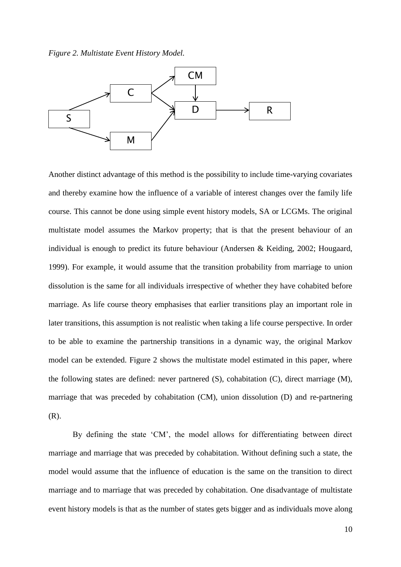*Figure 2. Multistate Event History Model.*



Another distinct advantage of this method is the possibility to include time-varying covariates and thereby examine how the influence of a variable of interest changes over the family life course. This cannot be done using simple event history models, SA or LCGMs. The original multistate model assumes the Markov property; that is that the present behaviour of an individual is enough to predict its future behaviour [\(Andersen & Keiding, 2002;](#page-29-15) [Hougaard,](#page-29-16)  [1999\)](#page-29-16). For example, it would assume that the transition probability from marriage to union dissolution is the same for all individuals irrespective of whether they have cohabited before marriage. As life course theory emphasises that earlier transitions play an important role in later transitions, this assumption is not realistic when taking a life course perspective. In order to be able to examine the partnership transitions in a dynamic way, the original Markov model can be extended. Figure 2 shows the multistate model estimated in this paper, where the following states are defined: never partnered (S), cohabitation (C), direct marriage (M), marriage that was preceded by cohabitation (CM), union dissolution (D) and re-partnering (R).

By defining the state 'CM', the model allows for differentiating between direct marriage and marriage that was preceded by cohabitation. Without defining such a state, the model would assume that the influence of education is the same on the transition to direct marriage and to marriage that was preceded by cohabitation. One disadvantage of multistate event history models is that as the number of states gets bigger and as individuals move along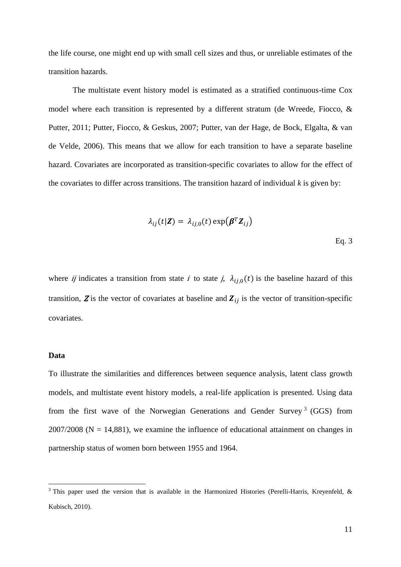the life course, one might end up with small cell sizes and thus, or unreliable estimates of the transition hazards.

The multistate event history model is estimated as a stratified continuous-time Cox model where each transition is represented by a different stratum [\(de Wreede, Fiocco, &](#page-29-17)  [Putter, 2011;](#page-29-17) [Putter, Fiocco, & Geskus, 2007;](#page-30-6) [Putter, van der Hage, de Bock, Elgalta, & van](#page-30-7)  [de Velde, 2006\)](#page-30-7). This means that we allow for each transition to have a separate baseline hazard. Covariates are incorporated as transition-specific covariates to allow for the effect of the covariates to differ across transitions. The transition hazard of individual  $k$  is given by:

$$
\lambda_{ij}(t|\mathbf{Z}) = \lambda_{ij,0}(t) \exp(\boldsymbol{\beta}^T \mathbf{Z}_{ij})
$$
  
Eq. 3

where *ij* indicates a transition from state *i* to state *j*,  $\lambda_{ij,0}(t)$  is the baseline hazard of this transition,  $Z$  is the vector of covariates at baseline and  $Z_{ij}$  is the vector of transition-specific covariates.

#### **Data**

**.** 

To illustrate the similarities and differences between sequence analysis, latent class growth models, and multistate event history models, a real-life application is presented. Using data from the first wave of the Norwegian Generations and Gender Survey<sup>3</sup> (GGS) from  $2007/2008$  (N = 14,881), we examine the influence of educational attainment on changes in partnership status of women born between 1955 and 1964.

 $3$  This paper used the version that is available in the Harmonized Histories (Perelli-Harris, Kreyenfeld,  $\&$ [Kubisch, 2010\)](#page-30-8).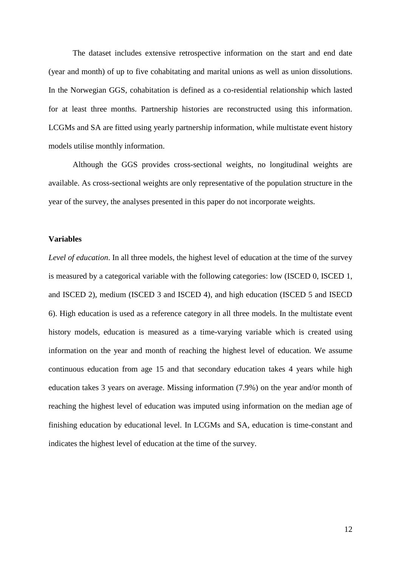The dataset includes extensive retrospective information on the start and end date (year and month) of up to five cohabitating and marital unions as well as union dissolutions. In the Norwegian GGS, cohabitation is defined as a co-residential relationship which lasted for at least three months. Partnership histories are reconstructed using this information. LCGMs and SA are fitted using yearly partnership information, while multistate event history models utilise monthly information.

Although the GGS provides cross-sectional weights, no longitudinal weights are available. As cross-sectional weights are only representative of the population structure in the year of the survey, the analyses presented in this paper do not incorporate weights.

## **Variables**

*Level of education*. In all three models, the highest level of education at the time of the survey is measured by a categorical variable with the following categories: low (ISCED 0, ISCED 1, and ISCED 2), medium (ISCED 3 and ISCED 4), and high education (ISCED 5 and ISECD 6). High education is used as a reference category in all three models. In the multistate event history models, education is measured as a time-varying variable which is created using information on the year and month of reaching the highest level of education. We assume continuous education from age 15 and that secondary education takes 4 years while high education takes 3 years on average. Missing information (7.9%) on the year and/or month of reaching the highest level of education was imputed using information on the median age of finishing education by educational level. In LCGMs and SA, education is time-constant and indicates the highest level of education at the time of the survey.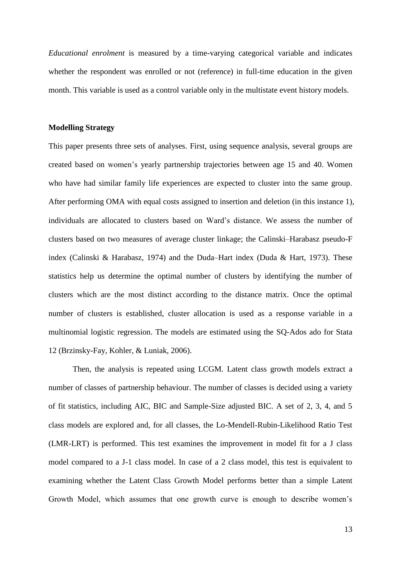*Educational enrolment* is measured by a time-varying categorical variable and indicates whether the respondent was enrolled or not (reference) in full-time education in the given month. This variable is used as a control variable only in the multistate event history models.

#### **Modelling Strategy**

This paper presents three sets of analyses. First, using sequence analysis, several groups are created based on women's yearly partnership trajectories between age 15 and 40. Women who have had similar family life experiences are expected to cluster into the same group. After performing OMA with equal costs assigned to insertion and deletion (in this instance 1), individuals are allocated to clusters based on Ward's distance. We assess the number of clusters based on two measures of average cluster linkage; the Calinski–Harabasz pseudo-F index (Calinski & Harabasz, 1974) and the Duda–Hart index (Duda & Hart, 1973). These statistics help us determine the optimal number of clusters by identifying the number of clusters which are the most distinct according to the distance matrix. Once the optimal number of clusters is established, cluster allocation is used as a response variable in a multinomial logistic regression. The models are estimated using the SQ-Ados ado for Stata 12 [\(Brzinsky-Fay, Kohler, & Luniak, 2006\)](#page-29-18).

Then, the analysis is repeated using LCGM. Latent class growth models extract a number of classes of partnership behaviour. The number of classes is decided using a variety of fit statistics, including AIC, BIC and Sample-Size adjusted BIC. A set of 2, 3, 4, and 5 class models are explored and, for all classes, the Lo-Mendell-Rubin-Likelihood Ratio Test (LMR-LRT) is performed. This test examines the improvement in model fit for a J class model compared to a J-1 class model. In case of a 2 class model, this test is equivalent to examining whether the Latent Class Growth Model performs better than a simple Latent Growth Model, which assumes that one growth curve is enough to describe women's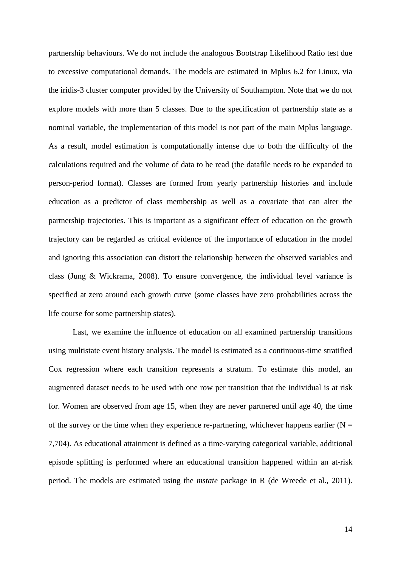partnership behaviours. We do not include the analogous Bootstrap Likelihood Ratio test due to excessive computational demands. The models are estimated in Mplus 6.2 for Linux, via the iridis-3 cluster computer provided by the University of Southampton. Note that we do not explore models with more than 5 classes. Due to the specification of partnership state as a nominal variable, the implementation of this model is not part of the main Mplus language. As a result, model estimation is computationally intense due to both the difficulty of the calculations required and the volume of data to be read (the datafile needs to be expanded to person-period format). Classes are formed from yearly partnership histories and include education as a predictor of class membership as well as a covariate that can alter the partnership trajectories. This is important as a significant effect of education on the growth trajectory can be regarded as critical evidence of the importance of education in the model and ignoring this association can distort the relationship between the observed variables and class [\(Jung & Wickrama, 2008\)](#page-29-13). To ensure convergence, the individual level variance is specified at zero around each growth curve (some classes have zero probabilities across the life course for some partnership states).

Last, we examine the influence of education on all examined partnership transitions using multistate event history analysis. The model is estimated as a continuous-time stratified Cox regression where each transition represents a stratum. To estimate this model, an augmented dataset needs to be used with one row per transition that the individual is at risk for. Women are observed from age 15, when they are never partnered until age 40, the time of the survey or the time when they experience re-partnering, whichever happens earlier ( $N =$ 7,704). As educational attainment is defined as a time-varying categorical variable, additional episode splitting is performed where an educational transition happened within an at-risk period. The models are estimated using the *mstate* package in R [\(de Wreede et al., 2011\)](#page-29-17).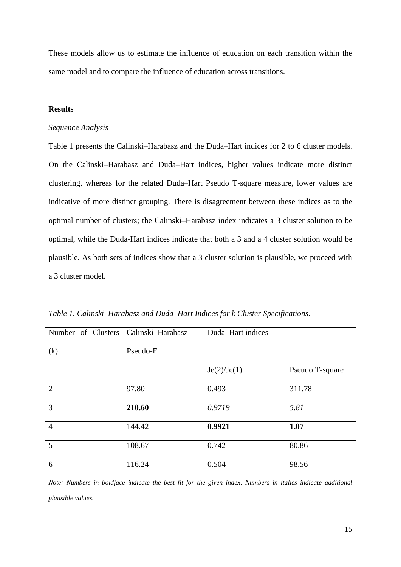These models allow us to estimate the influence of education on each transition within the same model and to compare the influence of education across transitions.

# **Results**

#### *Sequence Analysis*

Table 1 presents the Calinski–Harabasz and the Duda–Hart indices for 2 to 6 cluster models. On the Calinski–Harabasz and Duda–Hart indices, higher values indicate more distinct clustering, whereas for the related Duda–Hart Pseudo T-square measure, lower values are indicative of more distinct grouping. There is disagreement between these indices as to the optimal number of clusters; the Calinski–Harabasz index indicates a 3 cluster solution to be optimal, while the Duda-Hart indices indicate that both a 3 and a 4 cluster solution would be plausible. As both sets of indices show that a 3 cluster solution is plausible, we proceed with a 3 cluster model.

| Number of Clusters | Calinski-Harabasz | Duda-Hart indices |                 |
|--------------------|-------------------|-------------------|-----------------|
| (k)                | Pseudo-F          |                   |                 |
|                    |                   | Je(2)/Je(1)       | Pseudo T-square |
| $\overline{2}$     | 97.80             | 0.493             | 311.78          |
| 3                  | 210.60            | 0.9719            | 5.81            |
| $\overline{4}$     | 144.42            | 0.9921            | 1.07            |
| 5                  | 108.67            | 0.742             | 80.86           |
| 6                  | 116.24            | 0.504             | 98.56           |

*Table 1. Calinski–Harabasz and Duda–Hart Indices for k Cluster Specifications.*

*Note: Numbers in boldface indicate the best fit for the given index. Numbers in italics indicate additional* 

*plausible values.*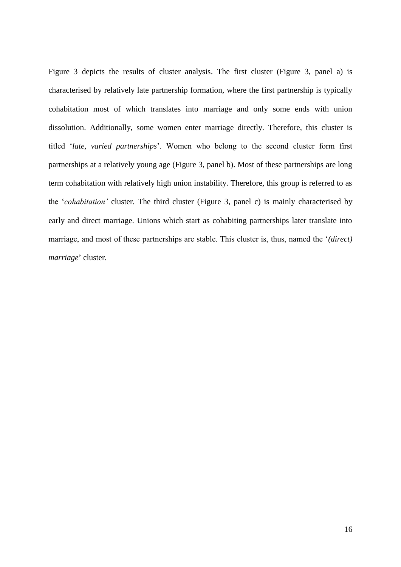Figure 3 depicts the results of cluster analysis. The first cluster (Figure 3, panel a) is characterised by relatively late partnership formation, where the first partnership is typically cohabitation most of which translates into marriage and only some ends with union dissolution. Additionally, some women enter marriage directly. Therefore, this cluster is titled '*late, varied partnerships*'. Women who belong to the second cluster form first partnerships at a relatively young age (Figure 3, panel b). Most of these partnerships are long term cohabitation with relatively high union instability. Therefore, this group is referred to as the '*cohabitation'* cluster. The third cluster (Figure 3, panel c) is mainly characterised by early and direct marriage. Unions which start as cohabiting partnerships later translate into marriage, and most of these partnerships are stable. This cluster is, thus, named the '*(direct) marriage*' cluster.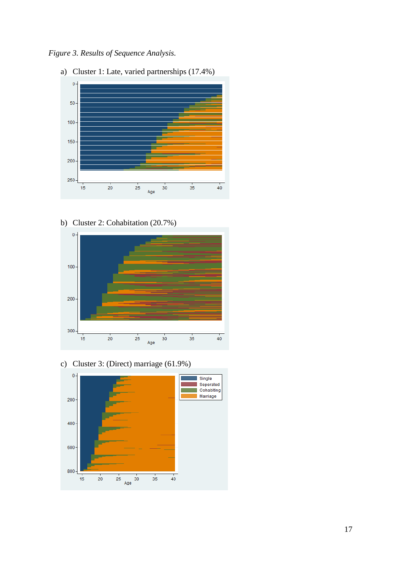*Figure 3. Results of Sequence Analysis.*



b) Cluster 2: Cohabitation (20.7%)



c) Cluster 3: (Direct) marriage (61.9%)

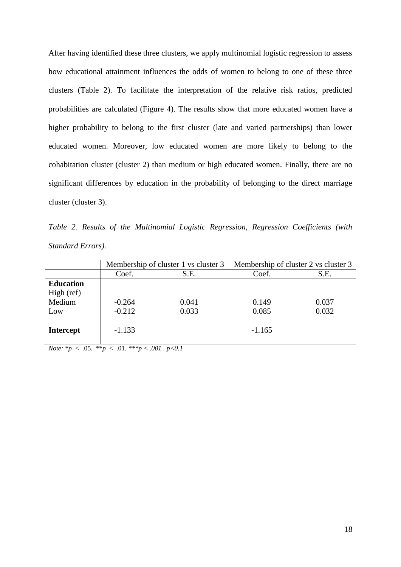After having identified these three clusters, we apply multinomial logistic regression to assess how educational attainment influences the odds of women to belong to one of these three clusters (Table 2). To facilitate the interpretation of the relative risk ratios, predicted probabilities are calculated (Figure 4). The results show that more educated women have a higher probability to belong to the first cluster (late and varied partnerships) than lower educated women. Moreover, low educated women are more likely to belong to the cohabitation cluster (cluster 2) than medium or high educated women. Finally, there are no significant differences by education in the probability of belonging to the direct marriage cluster (cluster 3).

*Table 2. Results of the Multinomial Logistic Regression, Regression Coefficients (with Standard Errors).*

|                                                 | Membership of cluster 1 vs cluster 3 |                | Membership of cluster 2 vs cluster 3 |                |
|-------------------------------------------------|--------------------------------------|----------------|--------------------------------------|----------------|
|                                                 | Coef.                                | S.E.           | Coef.                                | S.E.           |
| <b>Education</b><br>High (ref)<br>Medium<br>Low | $-0.264$<br>$-0.212$                 | 0.041<br>0.033 | 0.149<br>0.085                       | 0.037<br>0.032 |
| <b>Intercept</b>                                | $-1.133$                             |                | $-1.165$                             |                |

*Note:*  $* p \lt .05. \cdot * p \lt .01. \cdot * p \lt .001. \cdot p \lt 0.1$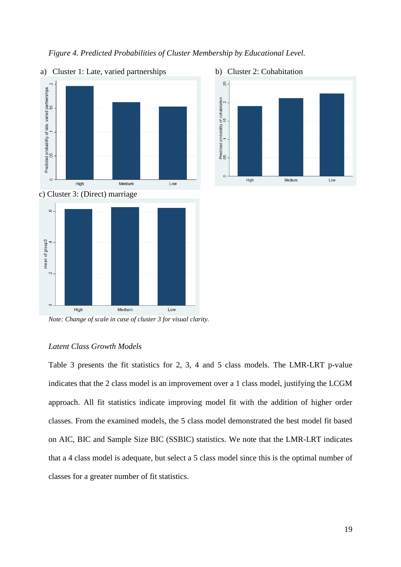

# *Figure 4. Predicted Probabilities of Cluster Membership by Educational Level.*



c) Cluster 3: (Direct) marriage



*Note: Change of scale in case of cluster 3 for visual clarity.*

## *Latent Class Growth Models*

Table 3 presents the fit statistics for 2, 3, 4 and 5 class models. The LMR-LRT p-value indicates that the 2 class model is an improvement over a 1 class model, justifying the LCGM approach. All fit statistics indicate improving model fit with the addition of higher order classes. From the examined models, the 5 class model demonstrated the best model fit based on AIC, BIC and Sample Size BIC (SSBIC) statistics. We note that the LMR-LRT indicates that a 4 class model is adequate, but select a 5 class model since this is the optimal number of classes for a greater number of fit statistics.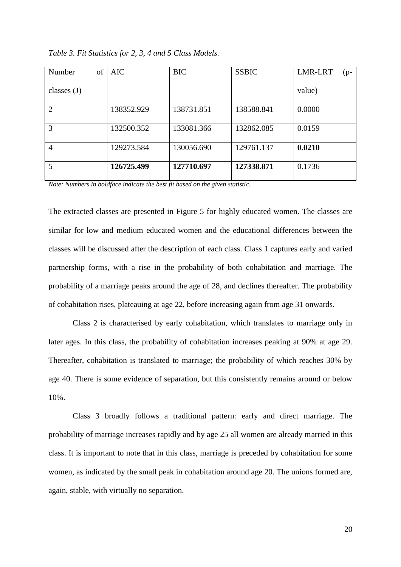| of<br>Number   | AIC        | <b>BIC</b> | <b>SSBIC</b> | <b>LMR-LRT</b><br>$(p-$ |
|----------------|------------|------------|--------------|-------------------------|
| classes $(J)$  |            |            |              | value)                  |
| $\overline{2}$ | 138352.929 | 138731.851 | 138588.841   | 0.0000                  |
| 3              | 132500.352 | 133081.366 | 132862.085   | 0.0159                  |
| $\overline{4}$ | 129273.584 | 130056.690 | 129761.137   | 0.0210                  |
| 5              | 126725.499 | 127710.697 | 127338.871   | 0.1736                  |

*Table 3. Fit Statistics for 2, 3, 4 and 5 Class Models.*

*Note: Numbers in boldface indicate the best fit based on the given statistic.*

The extracted classes are presented in Figure 5 for highly educated women. The classes are similar for low and medium educated women and the educational differences between the classes will be discussed after the description of each class. Class 1 captures early and varied partnership forms, with a rise in the probability of both cohabitation and marriage. The probability of a marriage peaks around the age of 28, and declines thereafter. The probability of cohabitation rises, plateauing at age 22, before increasing again from age 31 onwards.

Class 2 is characterised by early cohabitation, which translates to marriage only in later ages. In this class, the probability of cohabitation increases peaking at 90% at age 29. Thereafter, cohabitation is translated to marriage; the probability of which reaches 30% by age 40. There is some evidence of separation, but this consistently remains around or below 10%.

Class 3 broadly follows a traditional pattern: early and direct marriage. The probability of marriage increases rapidly and by age 25 all women are already married in this class. It is important to note that in this class, marriage is preceded by cohabitation for some women, as indicated by the small peak in cohabitation around age 20. The unions formed are, again, stable, with virtually no separation.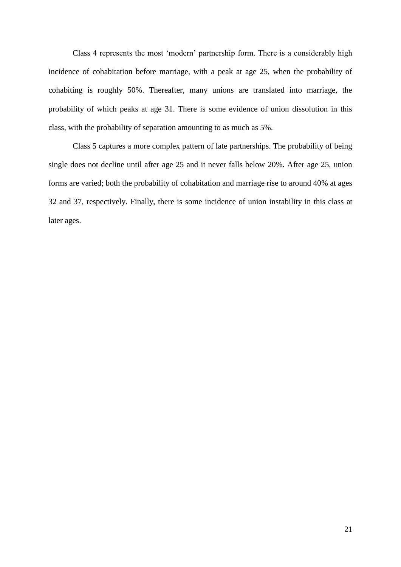Class 4 represents the most 'modern' partnership form. There is a considerably high incidence of cohabitation before marriage, with a peak at age 25, when the probability of cohabiting is roughly 50%. Thereafter, many unions are translated into marriage, the probability of which peaks at age 31. There is some evidence of union dissolution in this class, with the probability of separation amounting to as much as 5%.

Class 5 captures a more complex pattern of late partnerships. The probability of being single does not decline until after age 25 and it never falls below 20%. After age 25, union forms are varied; both the probability of cohabitation and marriage rise to around 40% at ages 32 and 37, respectively. Finally, there is some incidence of union instability in this class at later ages.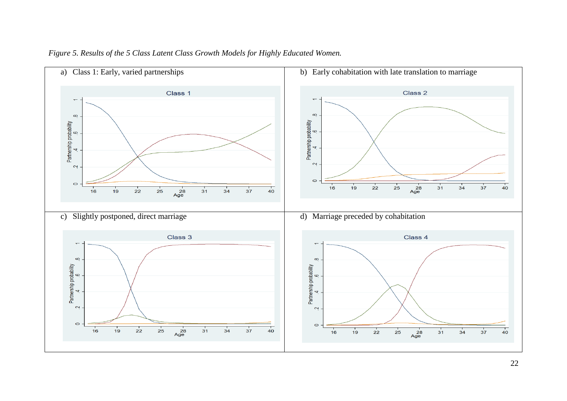

# *Figure 5. Results of the 5 Class Latent Class Growth Models for Highly Educated Women.*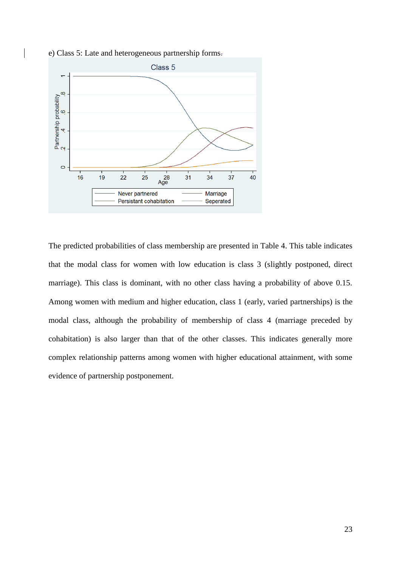e) Class 5: Late and heterogeneous partnership forms.



The predicted probabilities of class membership are presented in Table 4. This table indicates that the modal class for women with low education is class 3 (slightly postponed, direct marriage). This class is dominant, with no other class having a probability of above 0.15. Among women with medium and higher education, class 1 (early, varied partnerships) is the modal class, although the probability of membership of class 4 (marriage preceded by cohabitation) is also larger than that of the other classes. This indicates generally more complex relationship patterns among women with higher educational attainment, with some evidence of partnership postponement.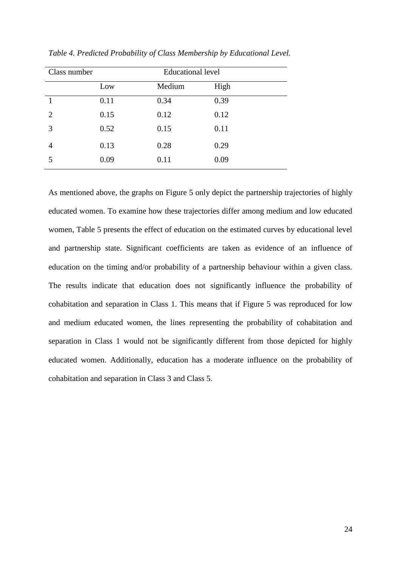| Class number   |      | <b>Educational level</b> |      |  |
|----------------|------|--------------------------|------|--|
|                | Low  | Medium                   | High |  |
|                | 0.11 | 0.34                     | 0.39 |  |
| $\overline{2}$ | 0.15 | 0.12                     | 0.12 |  |
| 3              | 0.52 | 0.15                     | 0.11 |  |
| 4              | 0.13 | 0.28                     | 0.29 |  |
| 5              | 0.09 | 0.11                     | 0.09 |  |

*Table 4. Predicted Probability of Class Membership by Educational Level.*

As mentioned above, the graphs on Figure 5 only depict the partnership trajectories of highly educated women. To examine how these trajectories differ among medium and low educated women, Table 5 presents the effect of education on the estimated curves by educational level and partnership state. Significant coefficients are taken as evidence of an influence of education on the timing and/or probability of a partnership behaviour within a given class. The results indicate that education does not significantly influence the probability of cohabitation and separation in Class 1. This means that if Figure 5 was reproduced for low and medium educated women, the lines representing the probability of cohabitation and separation in Class 1 would not be significantly different from those depicted for highly educated women. Additionally, education has a moderate influence on the probability of cohabitation and separation in Class 3 and Class 5.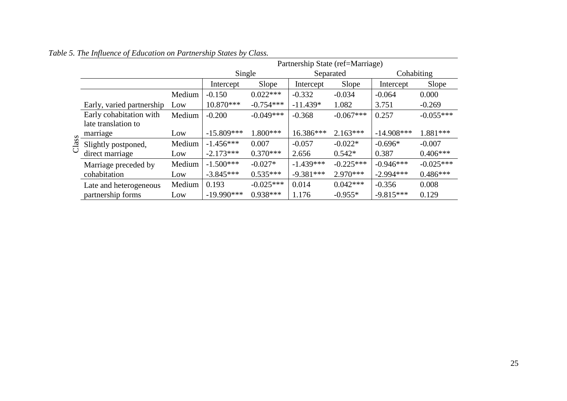|       |                                                |        | Partnership State (ref=Marriage) |             |             |             |              |             |
|-------|------------------------------------------------|--------|----------------------------------|-------------|-------------|-------------|--------------|-------------|
|       |                                                |        | Single                           |             | Separated   |             | Cohabiting   |             |
|       |                                                |        | Intercept                        | Slope       | Intercept   | Slope       | Intercept    | Slope       |
|       |                                                | Medium | $-0.150$                         | $0.022***$  | $-0.332$    | $-0.034$    | $-0.064$     | 0.000       |
|       | Early, varied partnership                      | Low    | 10.870***                        | $-0.754***$ | $-11.439*$  | 1.082       | 3.751        | $-0.269$    |
|       | Early cohabitation with<br>late translation to | Medium | $-0.200$                         | $-0.049***$ | $-0.368$    | $-0.067***$ | 0.257        | $-0.055***$ |
|       | marriage                                       | Low    | $-15.809***$                     | $1.800***$  | 16.386***   | $2.163***$  | $-14.908***$ | 1.881 ***   |
| Class | Slightly postponed,                            | Medium | $-1.456***$                      | 0.007       | $-0.057$    | $-0.022*$   | $-0.696*$    | $-0.007$    |
|       | direct marriage                                | Low    | $-2.173***$                      | $0.370***$  | 2.656       | $0.542*$    | 0.387        | $0.406***$  |
|       | Marriage preceded by                           | Medium | $-1.500***$                      | $-0.027*$   | $-1.439***$ | $-0.225***$ | $-0.946***$  | $-0.025***$ |
|       | cohabitation                                   | Low    | $-3.845***$                      | $0.535***$  | $-9.381***$ | $2.970***$  | $-2.994***$  | $0.486***$  |
|       | Late and heterogeneous                         | Medium | 0.193                            | $-0.025***$ | 0.014       | $0.042***$  | $-0.356$     | 0.008       |
|       | partnership forms                              | Low    | $-19.990***$                     | $0.938***$  | 1.176       | $-0.955*$   | $-9.815***$  | 0.129       |

# *Table 5. The Influence of Education on Partnership States by Class.*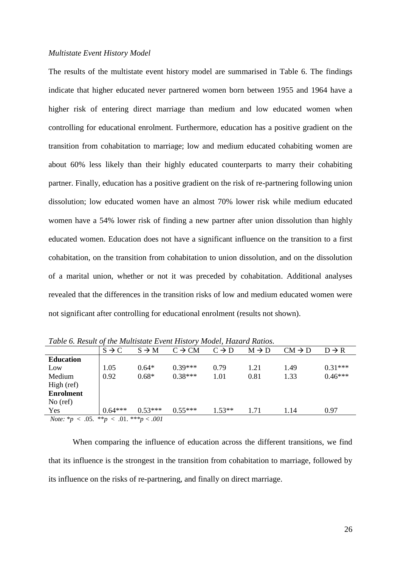#### *Multistate Event History Model*

The results of the multistate event history model are summarised in Table 6. The findings indicate that higher educated never partnered women born between 1955 and 1964 have a higher risk of entering direct marriage than medium and low educated women when controlling for educational enrolment. Furthermore, education has a positive gradient on the transition from cohabitation to marriage; low and medium educated cohabiting women are about 60% less likely than their highly educated counterparts to marry their cohabiting partner. Finally, education has a positive gradient on the risk of re-partnering following union dissolution; low educated women have an almost 70% lower risk while medium educated women have a 54% lower risk of finding a new partner after union dissolution than highly educated women. Education does not have a significant influence on the transition to a first cohabitation, on the transition from cohabitation to union dissolution, and on the dissolution of a marital union, whether or not it was preceded by cohabitation. Additional analyses revealed that the differences in the transition risks of low and medium educated women were not significant after controlling for educational enrolment (results not shown).

| Twore of Hestar of the Heathsteine Event Hustoff futurely Heather Heathost |                   |                   |                    |                   |                   |                    |                   |
|----------------------------------------------------------------------------|-------------------|-------------------|--------------------|-------------------|-------------------|--------------------|-------------------|
|                                                                            | $S \rightarrow C$ | $S \rightarrow M$ | $C \rightarrow CM$ | $C \rightarrow D$ | $M \rightarrow D$ | $CM \rightarrow D$ | $D \rightarrow R$ |
| <b>Education</b>                                                           |                   |                   |                    |                   |                   |                    |                   |
| Low                                                                        | 1.05              | $0.64*$           | $0.39***$          | 0.79              | 1.21              | 1.49               | $0.31***$         |
| Medium                                                                     | 0.92              | $0.68*$           | $0.38***$          | 1.01              | 0.81              | 1.33               | $0.46***$         |
| High (ref)                                                                 |                   |                   |                    |                   |                   |                    |                   |
| <b>Enrolment</b>                                                           |                   |                   |                    |                   |                   |                    |                   |
| No $(ref)$                                                                 |                   |                   |                    |                   |                   |                    |                   |
| Yes                                                                        | $0.64***$         | $0.53***$         | $0.55***$          | $1.53**$          | 1.71              | 1.14               | 0.97              |
| <i>Note:</i> * $p < .05.$ ** $p < .01.$ ** $p < .001$                      |                   |                   |                    |                   |                   |                    |                   |

*Table 6. Result of the Multistate Event History Model, Hazard Ratios.*

When comparing the influence of education across the different transitions, we find that its influence is the strongest in the transition from cohabitation to marriage, followed by its influence on the risks of re-partnering, and finally on direct marriage.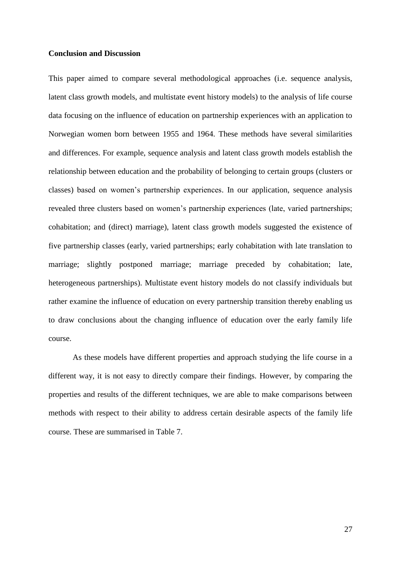## **Conclusion and Discussion**

This paper aimed to compare several methodological approaches (i.e. sequence analysis, latent class growth models, and multistate event history models) to the analysis of life course data focusing on the influence of education on partnership experiences with an application to Norwegian women born between 1955 and 1964. These methods have several similarities and differences. For example, sequence analysis and latent class growth models establish the relationship between education and the probability of belonging to certain groups (clusters or classes) based on women's partnership experiences. In our application, sequence analysis revealed three clusters based on women's partnership experiences (late, varied partnerships; cohabitation; and (direct) marriage), latent class growth models suggested the existence of five partnership classes (early, varied partnerships; early cohabitation with late translation to marriage; slightly postponed marriage; marriage preceded by cohabitation; late, heterogeneous partnerships). Multistate event history models do not classify individuals but rather examine the influence of education on every partnership transition thereby enabling us to draw conclusions about the changing influence of education over the early family life course.

As these models have different properties and approach studying the life course in a different way, it is not easy to directly compare their findings. However, by comparing the properties and results of the different techniques, we are able to make comparisons between methods with respect to their ability to address certain desirable aspects of the family life course. These are summarised in Table 7.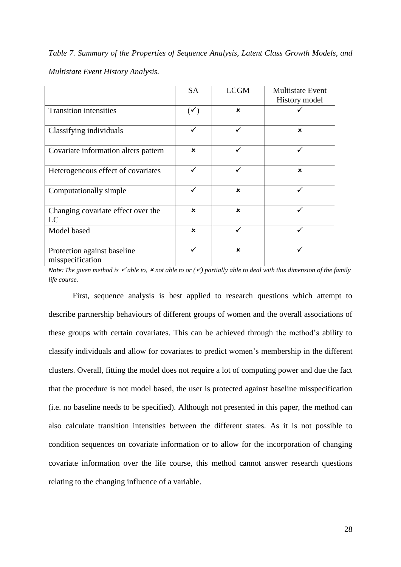*Table 7. Summary of the Properties of Sequence Analysis, Latent Class Growth Models, and Multistate Event History Analysis.*

|                                                 | <b>SA</b>                 | <b>LCGM</b> | <b>Multistate Event</b>   |
|-------------------------------------------------|---------------------------|-------------|---------------------------|
|                                                 |                           |             | History model             |
| <b>Transition intensities</b>                   | $(\checkmark)$            | $\mathbf x$ |                           |
| Classifying individuals                         | ✓                         |             | $\boldsymbol{\mathsf{x}}$ |
| Covariate information alters pattern            | $\boldsymbol{\mathsf{x}}$ |             |                           |
| Heterogeneous effect of covariates              | ✓                         |             | $\mathbf x$               |
| Computationally simple                          |                           | $\mathbf x$ |                           |
| Changing covariate effect over the<br>LC        | $\boldsymbol{\mathsf{x}}$ | $\mathbf x$ |                           |
| Model based                                     | $\boldsymbol{\mathsf{x}}$ |             |                           |
| Protection against baseline<br>misspecification |                           | $\mathbf x$ |                           |

*Note: The given method is*  $\checkmark$  *able to,*  $\checkmark$  *not able to or*  $(\checkmark)$  *partially able to deal with this dimension of the family life course.*

First, sequence analysis is best applied to research questions which attempt to describe partnership behaviours of different groups of women and the overall associations of these groups with certain covariates. This can be achieved through the method's ability to classify individuals and allow for covariates to predict women's membership in the different clusters. Overall, fitting the model does not require a lot of computing power and due the fact that the procedure is not model based, the user is protected against baseline misspecification (i.e. no baseline needs to be specified). Although not presented in this paper, the method can also calculate transition intensities between the different states. As it is not possible to condition sequences on covariate information or to allow for the incorporation of changing covariate information over the life course, this method cannot answer research questions relating to the changing influence of a variable.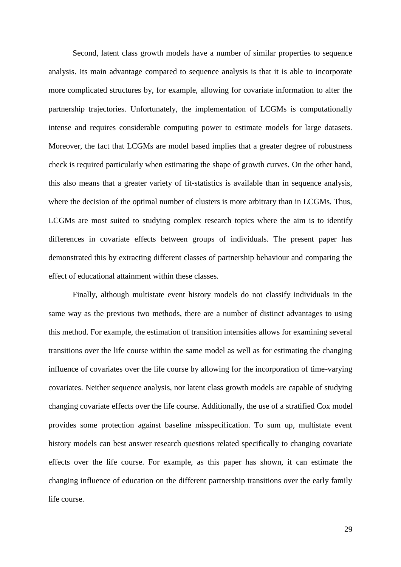Second, latent class growth models have a number of similar properties to sequence analysis. Its main advantage compared to sequence analysis is that it is able to incorporate more complicated structures by, for example, allowing for covariate information to alter the partnership trajectories. Unfortunately, the implementation of LCGMs is computationally intense and requires considerable computing power to estimate models for large datasets. Moreover, the fact that LCGMs are model based implies that a greater degree of robustness check is required particularly when estimating the shape of growth curves. On the other hand, this also means that a greater variety of fit-statistics is available than in sequence analysis, where the decision of the optimal number of clusters is more arbitrary than in LCGMs. Thus, LCGMs are most suited to studying complex research topics where the aim is to identify differences in covariate effects between groups of individuals. The present paper has demonstrated this by extracting different classes of partnership behaviour and comparing the effect of educational attainment within these classes.

Finally, although multistate event history models do not classify individuals in the same way as the previous two methods, there are a number of distinct advantages to using this method. For example, the estimation of transition intensities allows for examining several transitions over the life course within the same model as well as for estimating the changing influence of covariates over the life course by allowing for the incorporation of time-varying covariates. Neither sequence analysis, nor latent class growth models are capable of studying changing covariate effects over the life course. Additionally, the use of a stratified Cox model provides some protection against baseline misspecification. To sum up, multistate event history models can best answer research questions related specifically to changing covariate effects over the life course. For example, as this paper has shown, it can estimate the changing influence of education on the different partnership transitions over the early family life course.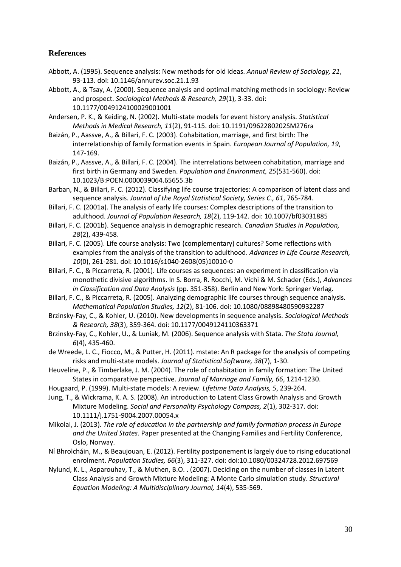# **References**

- <span id="page-29-10"></span>Abbott, A. (1995). Sequence analysis: New methods for old ideas. *Annual Review of Sociology, 21*, 93-113. doi: 10.1146/annurev.soc.21.1.93
- <span id="page-29-12"></span>Abbott, A., & Tsay, A. (2000). Sequence analysis and optimal matching methods in sociology: Review and prospect. *Sociological Methods & Research, 29*(1), 3-33. doi: 10.1177/0049124100029001001
- <span id="page-29-15"></span>Andersen, P. K., & Keiding, N. (2002). Multi-state models for event history analysis. *Statistical Methods in Medical Research, 11*(2), 91-115. doi: 10.1191/0962280202SM276ra
- <span id="page-29-5"></span>Baizán, P., Aassve, A., & Billari, F. C. (2003). Cohabitation, marriage, and first birth: The interrelationship of family formation events in Spain. *European Journal of Population, 19*, 147-169.
- <span id="page-29-6"></span>Baizán, P., Aassve, A., & Billari, F. C. (2004). The interrelations between cohabitation, marriage and first birth in Germany and Sweden. *Population and Environment, 25*(531-560). doi: 10.1023/B:POEN.0000039064.65655.3b
- <span id="page-29-8"></span>Barban, N., & Billari, F. C. (2012). Classifying life course trajectories: A comparison of latent class and sequence analysis. *Journal of the Royal Statistical Society, Series C., 61*, 765-784.
- <span id="page-29-7"></span>Billari, F. C. (2001a). The analysis of early life courses: Complex descriptions of the transition to adulthood. *Journal of Population Research, 18*(2), 119-142. doi: 10.1007/bf03031885
- <span id="page-29-0"></span>Billari, F. C. (2001b). Sequence analysis in demographic research. *Canadian Studies in Population, 28*(2), 439-458.
- <span id="page-29-1"></span>Billari, F. C. (2005). Life course analysis: Two (complementary) cultures? Some reflections with examples from the analysis of the transition to adulthood. *Advances in Life Course Research, 10*(0), 261-281. doi: 10.1016/s1040-2608(05)10010-0
- <span id="page-29-2"></span>Billari, F. C., & Piccarreta, R. (2001). Life courses as sequences: an experiment in classification via monothetic divisive algorithms. In S. Borra, R. Rocchi, M. Vichi & M. Schader (Eds.), *Advances in Classification and Data Analysis* (pp. 351-358). Berlin and New York: Springer Verlag.
- <span id="page-29-3"></span>Billari, F. C., & Piccarreta, R. (2005). Analyzing demographic life courses through sequence analysis. *Mathematical Population Studies, 12*(2), 81-106. doi: 10.1080/08898480590932287
- <span id="page-29-11"></span>Brzinsky-Fay, C., & Kohler, U. (2010). New developments in sequence analysis. *Sociological Methods & Research, 38*(3), 359-364. doi: 10.1177/0049124110363371
- <span id="page-29-18"></span>Brzinsky-Fay, C., Kohler, U., & Luniak, M. (2006). Sequence analysis with Stata. *The Stata Journal, 6*(4), 435-460.
- <span id="page-29-17"></span>de Wreede, L. C., Fiocco, M., & Putter, H. (2011). mstate: An R package for the analysis of competing risks and multi-state models. *Journal of Statistical Software, 38*(7), 1-30.
- <span id="page-29-4"></span>Heuveline, P., & Timberlake, J. M. (2004). The role of cohabitation in family formation: The United States in comparative perspective. *Journal of Marriage and Family, 66*, 1214-1230.
- <span id="page-29-16"></span>Hougaard, P. (1999). Multi-state models: A review. *Lifetime Data Analysis, 5*, 239-264.
- <span id="page-29-13"></span>Jung, T., & Wickrama, K. A. S. (2008). An introduction to Latent Class Growth Analysis and Growth Mixture Modeling. *Social and Personality Psychology Compass, 2*(1), 302-317. doi: 10.1111/j.1751-9004.2007.00054.x
- <span id="page-29-9"></span>Mikolai, J. (2013). *The role of education in the partnership and family formation process in Europe and the United States*. Paper presented at the Changing Families and Fertility Conference, Oslo, Norway.
- Ní Bhrolcháin, M., & Beaujouan, E. (2012). Fertility postponement is largely due to rising educational enrolment. *Population Studies, 66*(3), 311-327. doi: doi:10.1080/00324728.2012.697569
- <span id="page-29-14"></span>Nylund, K. L., Asparouhav, T., & Muthen, B.O. . (2007). Deciding on the number of classes in Latent Class Analysis and Growth Mixture Modeling: A Monte Carlo simulation study. *Structural Equation Modeling: A Multidisciplinary Journal, 14*(4), 535-569.